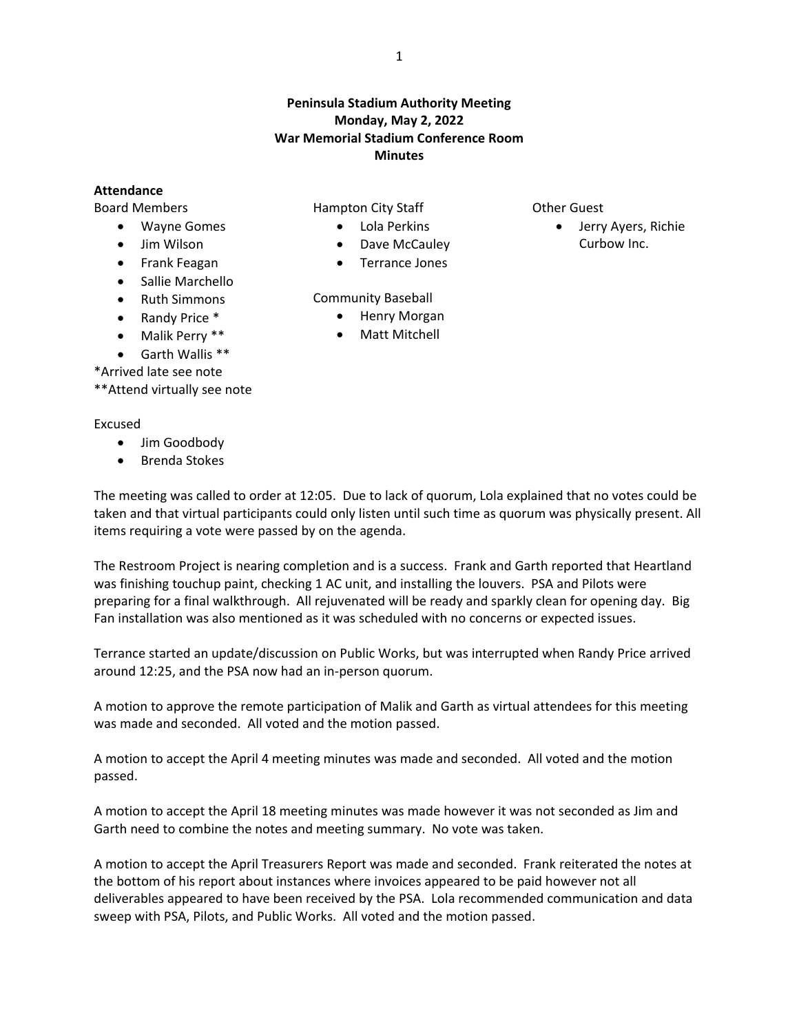## **Peninsula Stadium Authority Meeting Monday, May 2, 2022 War Memorial Stadium Conference Room Minutes**

## **Attendance**

Board Members

- Wayne Gomes
- Jim Wilson
- **•** Frank Feagan
- Sallie Marchello
- Ruth Simmons
- Randy Price \*
- Malik Perry \*\*
- Garth Wallis \*\*

\*Arrived late see note

\*\*Attend virtually see note

## Excused

- Jim Goodbody
- Brenda Stokes

Hampton City Staff

Community Baseball

- Lola Perkins
- Dave McCauley Terrance Jones

 Henry Morgan Matt Mitchell

- Other Guest
	- Jerry Ayers, Richie Curbow Inc.

The meeting was called to order at 12:05. Due to lack of quorum, Lola explained that no votes could be taken and that virtual participants could only listen until such time as quorum was physically present. All items requiring a vote were passed by on the agenda.

The Restroom Project is nearing completion and is a success. Frank and Garth reported that Heartland was finishing touchup paint, checking 1 AC unit, and installing the louvers. PSA and Pilots were preparing for a final walkthrough. All rejuvenated will be ready and sparkly clean for opening day. Big Fan installation was also mentioned as it was scheduled with no concerns or expected issues.

Terrance started an update/discussion on Public Works, but was interrupted when Randy Price arrived around 12:25, and the PSA now had an in-person quorum.

A motion to approve the remote participation of Malik and Garth as virtual attendees for this meeting was made and seconded. All voted and the motion passed.

A motion to accept the April 4 meeting minutes was made and seconded. All voted and the motion passed.

A motion to accept the April 18 meeting minutes was made however it was not seconded as Jim and Garth need to combine the notes and meeting summary. No vote was taken.

A motion to accept the April Treasurers Report was made and seconded. Frank reiterated the notes at the bottom of his report about instances where invoices appeared to be paid however not all deliverables appeared to have been received by the PSA. Lola recommended communication and data sweep with PSA, Pilots, and Public Works. All voted and the motion passed.